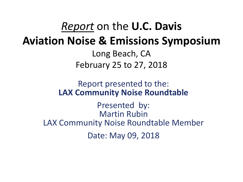## *Report* on the **U.C. Davis Aviation Noise & Emissions Symposium**

Long Beach, CA February 25 to 27, 2018

#### Report presented to the: **LAX Community Noise Roundtable**

Presented by: Martin Rubin LAX Community Noise Roundtable Member Date: May 09, 2018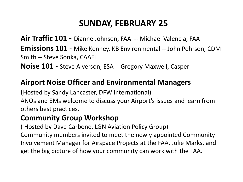### **SUNDAY, FEBRUARY 25**

**Air Traffic 101** - Dianne Johnson, FAA -- Michael Valencia, FAA **Emissions 101** - Mike Kenney, KB Environmental -- John Pehrson, CDM Smith -- Steve Sonka, CAAFI **Noise 101** - Steve Alverson, ESA -- Gregory Maxwell, Casper

#### **Airport Noise Officer and Environmental Managers**

(Hosted by Sandy Lancaster, DFW International) ANOs and EMs welcome to discuss your Airport's issues and learn from others best practices.

#### **Community Group Workshop**

( Hosted by Dave Carbone, LGN Aviation Policy Group) Community members invited to meet the newly appointed Community Involvement Manager for Airspace Projects at the FAA, Julie Marks, and get the big picture of how your community can work with the FAA.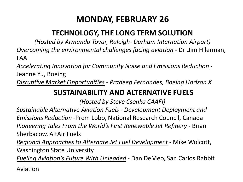## **MONDAY, FEBRUARY 26**

#### **TECHNOLOGY, THE LONG TERM SOLUTION**

*(Hosted by Armando Tovar, Raleigh- Durham Internation Airport) Overcoming the environmental challenges facing aviation* - Dr .Jim Hilerman, FAA

*Accelerating Innovation for Community Noise and Emissions Reduction* -

Jeanne Yu, Boeing

*Disruptive Market Opportunities - Pradeep Fernandes, Boeing Horizon X*

#### **SUSTAINABILITY AND ALTERNATIVE FUELS**

*(Hosted by Steve Csonka CAAFI)*

*Sustainable Alternative Aviation Fuels - Development Deployment and Emissions Reduction* -Prem Lobo, National Research Council, Canada *Pioneering Tales From the World's First Renewable Jet Refinery -* Brian Sherbacow, AltAir Fuels

*Regional Approaches to Alternate Jet Fuel Development* - Mike Wolcott, Washington State University

*Fueling Aviation's Future With Unleaded* - Dan DeMeo, San Carlos Rabbit

Aviation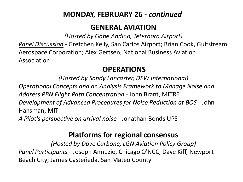#### **MONDAY, FEBRUARY 26 -** *continued*

#### **GENERAL AVIATION**

*(Hosted by Gabe Andino, Teterboro Airport)*

*Panel Discussion -* Gretchen Kelly, San Carlos Airport; Brian Cook, Gulfstream Aerospace Corporation; Alex Gertsen, National Business Aviation Association

#### **OPERATIONS**

*(Hosted by Sandy Lancaster, DFW International) Operational Concepts and an Analysis Framework to Manage Noise and Address PBN Flight Path Concentration -* John Brant, MITRE *Development of Advanced Procedures for Noise Reduction at BOS* - John Hansman, MIT *A Pilot's perspective on arrival noise* - Jonathan Bonds UPS

#### **Platforms for regional consensus**

*(Hosted by Dave Carbone, LGN Aviation Policy Group) Panel Participants* - Joseph Annuzio, Chicago O'NCC; Dave Kiff, Newport Beach City; James Casteñeda, San Mateo County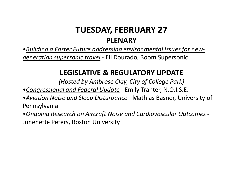### **TUESDAY, FEBRUARY 27 PLENARY**

•*Building a Faster Future addressing environmental issues for newgeneration supersonic travel* - Eli Dourado, Boom Supersonic

#### **LEGISLATIVE & REGULATORY UPDATE**

*(Hosted by Ambrose Clay, City of College Park)*

•*Congressional and Federal Update* - Emily Tranter, N.O.I.S.E.

•*Aviation Noise and Sleep Disturbance* - Mathias Basner, University of Pennsylvania

•*Ongoing Research on Aircraft Noise and Cardiovascular Outcomes* - Junenette Peters, Boston University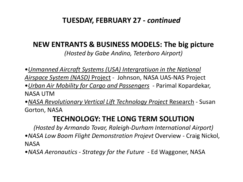#### **TUESDAY, FEBRUARY 27 -** *continued*

#### **NEW ENTRANTS & BUSINESS MODELS: The big picture**

*(Hosted by Gabe Andino, Teterboro Airport)*

•*Unmanned Aircraft Systems (USA) Intergratiuon in the National* 

- *Airspace System (NASD)* Project Johnson, NASA UAS-NAS Project
- •*Urban Air Mobility for Cargo and Passengers* Parimal Kopardekar, NASA UTM
- •*NASA Revolutionary Vertical Lift Technology Project* Research Susan Gorton, NASA

#### **TECHNOLOGY: THE LONG TERM SOLUTION**

*(Hosted by Armando Tovar, Raleigh-Durham International Airport)* •*NASA Low Boom Flight Demonstration Projevt* Overview - Craig Nickol, NASA

•*NASA Aeronautics - Strategy for the Future* - Ed Waggoner, NASA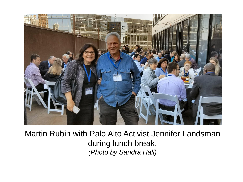

Martin Rubin with Palo Alto Activist Jennifer Landsman during lunch break. *(Photo by Sandra Hall)*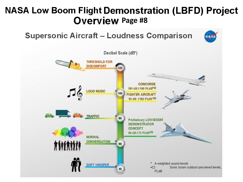## **NASA Low Boom Flight Demonstration (LBFD) Project Overview Page #8**

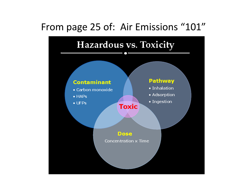## From page 25 of: Air Emissions "101"

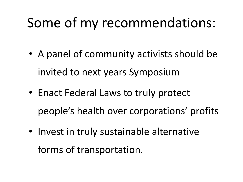# Some of my recommendations:

- A panel of community activists should be invited to next years Symposium
- Enact Federal Laws to truly protect people's health over corporations' profits
- Invest in truly sustainable alternative forms of transportation.